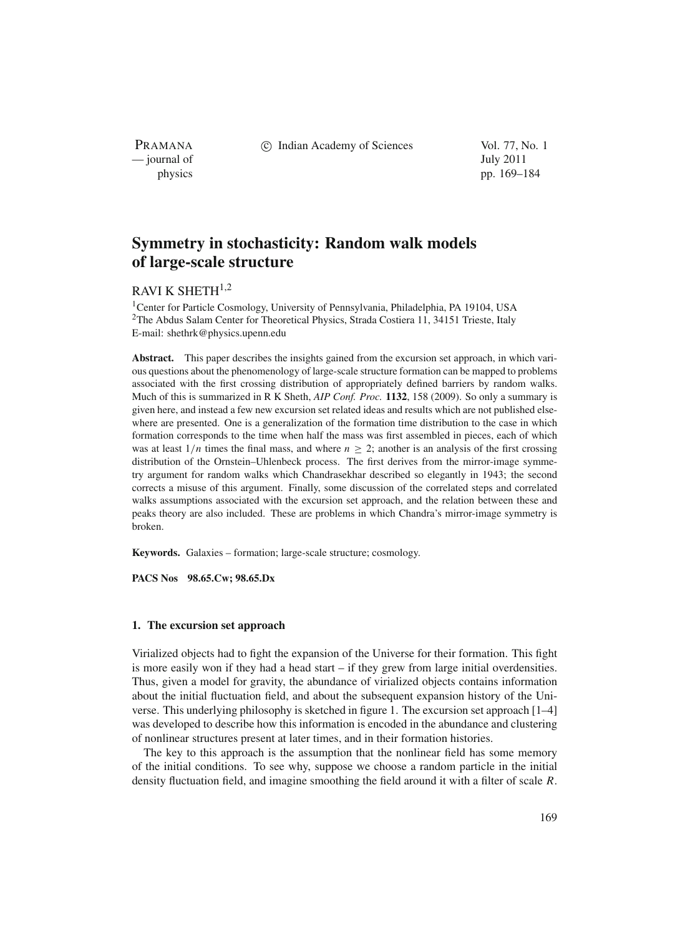PRAMANA — journal of July 2011

c Indian Academy of Sciences Vol. 77, No. 1

physics pp. 169–184

# **Symmetry in stochasticity: Random walk models of large-scale structure**

# RAVI K SHETH $^{1,2}$

<sup>1</sup>Center for Particle Cosmology, University of Pennsylvania, Philadelphia, PA 19104, USA <sup>2</sup>The Abdus Salam Center for Theoretical Physics, Strada Costiera 11, 34151 Trieste, Italy E-mail: shethrk@physics.upenn.edu

**Abstract.** This paper describes the insights gained from the excursion set approach, in which various questions about the phenomenology of large-scale structure formation can be mapped to problems associated with the first crossing distribution of appropriately defined barriers by random walks. Much of this is summarized in R K Sheth, *AIP Conf. Proc.* **1132**, 158 (2009). So only a summary is given here, and instead a few new excursion set related ideas and results which are not published elsewhere are presented. One is a generalization of the formation time distribution to the case in which formation corresponds to the time when half the mass was first assembled in pieces, each of which was at least  $1/n$  times the final mass, and where  $n \geq 2$ ; another is an analysis of the first crossing distribution of the Ornstein–Uhlenbeck process. The first derives from the mirror-image symmetry argument for random walks which Chandrasekhar described so elegantly in 1943; the second corrects a misuse of this argument. Finally, some discussion of the correlated steps and correlated walks assumptions associated with the excursion set approach, and the relation between these and peaks theory are also included. These are problems in which Chandra's mirror-image symmetry is broken.

**Keywords.** Galaxies – formation; large-scale structure; cosmology.

**PACS Nos 98.65.Cw; 98.65.Dx**

# **1. The excursion set approach**

Virialized objects had to fight the expansion of the Universe for their formation. This fight is more easily won if they had a head start – if they grew from large initial overdensities. Thus, given a model for gravity, the abundance of virialized objects contains information about the initial fluctuation field, and about the subsequent expansion history of the Universe. This underlying philosophy is sketched in figure 1. The excursion set approach [1–4] was developed to describe how this information is encoded in the abundance and clustering of nonlinear structures present at later times, and in their formation histories.

The key to this approach is the assumption that the nonlinear field has some memory of the initial conditions. To see why, suppose we choose a random particle in the initial density fluctuation field, and imagine smoothing the field around it with a filter of scale *R*.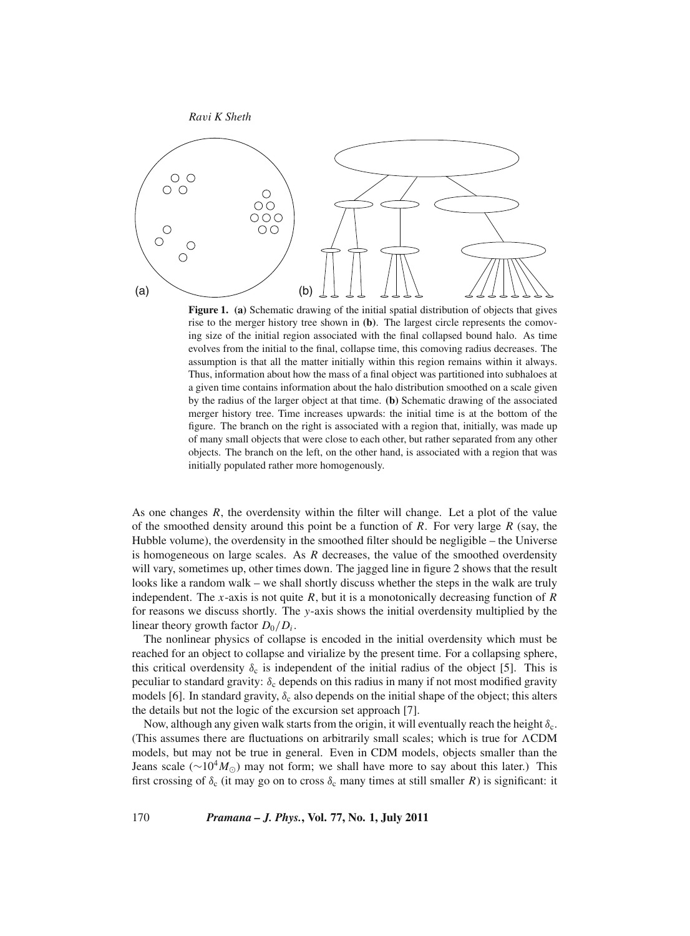

**Figure 1. (a)** Schematic drawing of the initial spatial distribution of objects that gives rise to the merger history tree shown in **(b)**. The largest circle represents the comoving size of the initial region associated with the final collapsed bound halo. As time evolves from the initial to the final, collapse time, this comoving radius decreases. The assumption is that all the matter initially within this region remains within it always. Thus, information about how the mass of a final object was partitioned into subhaloes at a given time contains information about the halo distribution smoothed on a scale given by the radius of the larger object at that time. **(b)** Schematic drawing of the associated merger history tree. Time increases upwards: the initial time is at the bottom of the figure. The branch on the right is associated with a region that, initially, was made up of many small objects that were close to each other, but rather separated from any other objects. The branch on the left, on the other hand, is associated with a region that was initially populated rather more homogenously.

As one changes *R*, the overdensity within the filter will change. Let a plot of the value of the smoothed density around this point be a function of *R*. For very large *R* (say, the Hubble volume), the overdensity in the smoothed filter should be negligible – the Universe is homogeneous on large scales. As *R* decreases, the value of the smoothed overdensity will vary, sometimes up, other times down. The jagged line in figure 2 shows that the result looks like a random walk – we shall shortly discuss whether the steps in the walk are truly independent. The *x*-axis is not quite *R*, but it is a monotonically decreasing function of *R* for reasons we discuss shortly. The *y*-axis shows the initial overdensity multiplied by the linear theory growth factor  $D_0/D_i$ .

The nonlinear physics of collapse is encoded in the initial overdensity which must be reached for an object to collapse and virialize by the present time. For a collapsing sphere, this critical overdensity  $\delta_c$  is independent of the initial radius of the object [5]. This is peculiar to standard gravity:  $\delta_c$  depends on this radius in many if not most modified gravity models [6]. In standard gravity,  $\delta_c$  also depends on the initial shape of the object; this alters the details but not the logic of the excursion set approach [7].

Now, although any given walk starts from the origin, it will eventually reach the height  $\delta_c$ . (This assumes there are fluctuations on arbitrarily small scales; which is true for CDM models, but may not be true in general. Even in CDM models, objects smaller than the Jeans scale ( $\sim 10^4 M_{\odot}$ ) may not form; we shall have more to say about this later.) This first crossing of  $\delta_c$  (it may go on to cross  $\delta_c$  many times at still smaller *R*) is significant: it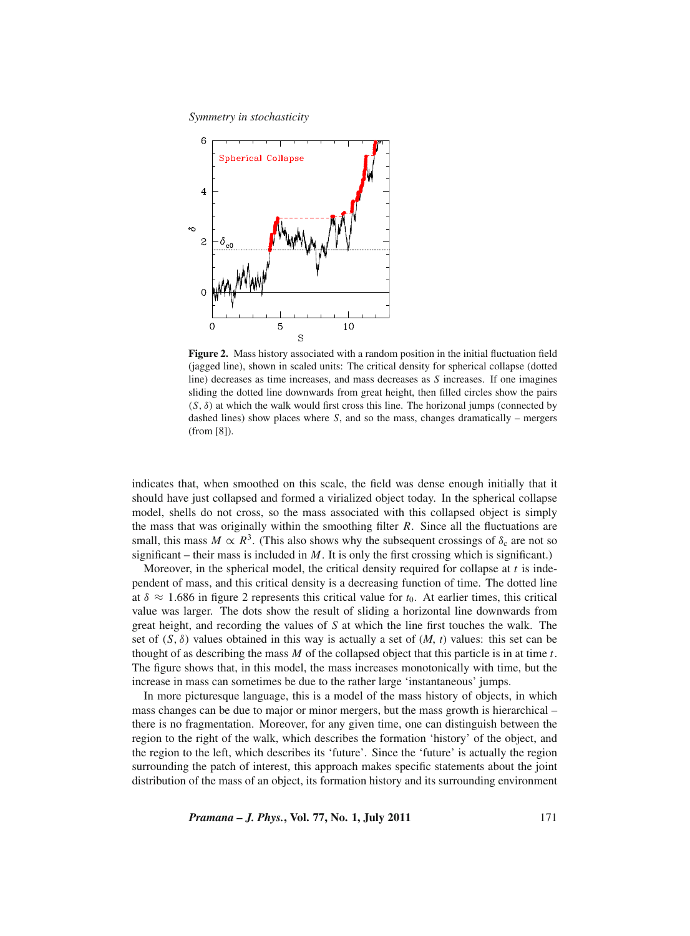

**Figure 2.** Mass history associated with a random position in the initial fluctuation field (jagged line), shown in scaled units: The critical density for spherical collapse (dotted line) decreases as time increases, and mass decreases as *S* increases. If one imagines sliding the dotted line downwards from great height, then filled circles show the pairs  $(S, \delta)$  at which the walk would first cross this line. The horizonal jumps (connected by dashed lines) show places where *S*, and so the mass, changes dramatically – mergers (from [8]).

indicates that, when smoothed on this scale, the field was dense enough initially that it should have just collapsed and formed a virialized object today. In the spherical collapse model, shells do not cross, so the mass associated with this collapsed object is simply the mass that was originally within the smoothing filter *R*. Since all the fluctuations are small, this mass  $M \propto R^3$ . (This also shows why the subsequent crossings of  $\delta_c$  are not so significant – their mass is included in  $M$ . It is only the first crossing which is significant.)

Moreover, in the spherical model, the critical density required for collapse at *t* is independent of mass, and this critical density is a decreasing function of time. The dotted line at  $\delta \approx 1.686$  in figure 2 represents this critical value for  $t_0$ . At earlier times, this critical value was larger. The dots show the result of sliding a horizontal line downwards from great height, and recording the values of *S* at which the line first touches the walk. The set of  $(S, \delta)$  values obtained in this way is actually a set of  $(M, t)$  values: this set can be thought of as describing the mass *M* of the collapsed object that this particle is in at time *t*. The figure shows that, in this model, the mass increases monotonically with time, but the increase in mass can sometimes be due to the rather large 'instantaneous' jumps.

In more picturesque language, this is a model of the mass history of objects, in which mass changes can be due to major or minor mergers, but the mass growth is hierarchical – there is no fragmentation. Moreover, for any given time, one can distinguish between the region to the right of the walk, which describes the formation 'history' of the object, and the region to the left, which describes its 'future'. Since the 'future' is actually the region surrounding the patch of interest, this approach makes specific statements about the joint distribution of the mass of an object, its formation history and its surrounding environment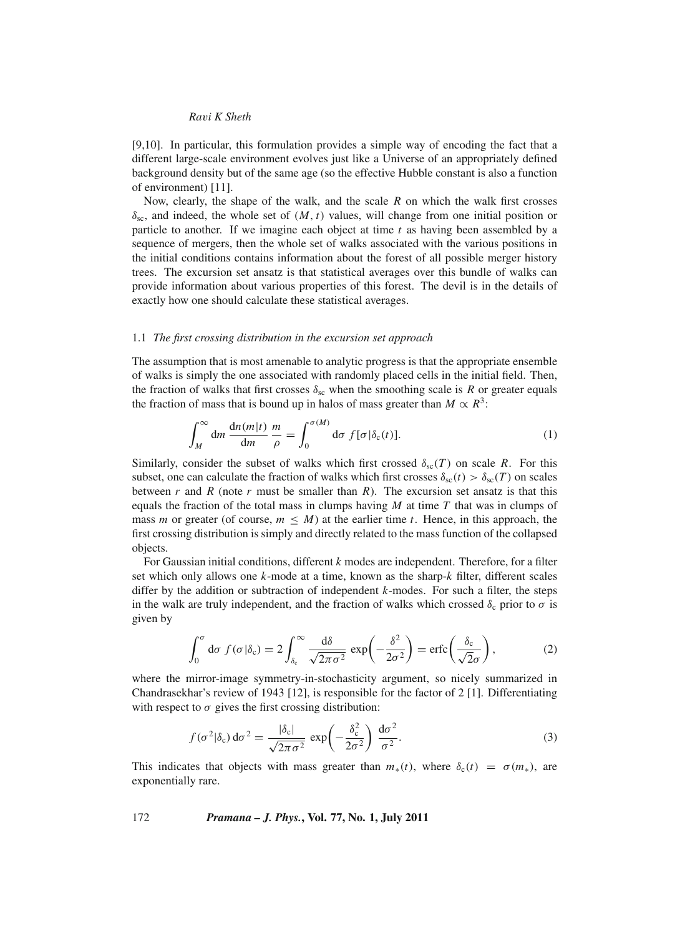[9,10]. In particular, this formulation provides a simple way of encoding the fact that a different large-scale environment evolves just like a Universe of an appropriately defined background density but of the same age (so the effective Hubble constant is also a function of environment) [11].

Now, clearly, the shape of the walk, and the scale *R* on which the walk first crosses  $\delta_{\rm sc}$ , and indeed, the whole set of  $(M, t)$  values, will change from one initial position or particle to another. If we imagine each object at time *t* as having been assembled by a sequence of mergers, then the whole set of walks associated with the various positions in the initial conditions contains information about the forest of all possible merger history trees. The excursion set ansatz is that statistical averages over this bundle of walks can provide information about various properties of this forest. The devil is in the details of exactly how one should calculate these statistical averages.

#### 1.1 *The first crossing distribution in the excursion set approach*

The assumption that is most amenable to analytic progress is that the appropriate ensemble of walks is simply the one associated with randomly placed cells in the initial field. Then, the fraction of walks that first crosses  $\delta_{\rm sc}$  when the smoothing scale is *R* or greater equals the fraction of mass that is bound up in halos of mass greater than  $M \propto R^3$ :

$$
\int_{M}^{\infty} \mathrm{d}m \, \frac{\mathrm{d}n(m|t)}{\mathrm{d}m} \, \frac{m}{\rho} = \int_{0}^{\sigma(M)} \mathrm{d}\sigma \, f[\sigma|\delta_{\mathrm{c}}(t)]. \tag{1}
$$

Similarly, consider the subset of walks which first crossed  $\delta_{\rm sc}(T)$  on scale *R*. For this subset, one can calculate the fraction of walks which first crosses  $\delta_{sc}(t) > \delta_{sc}(T)$  on scales between  $r$  and  $R$  (note  $r$  must be smaller than  $R$ ). The excursion set ansatz is that this equals the fraction of the total mass in clumps having *M* at time *T* that was in clumps of mass *m* or greater (of course,  $m \leq M$ ) at the earlier time *t*. Hence, in this approach, the first crossing distribution is simply and directly related to the mass function of the collapsed objects.

For Gaussian initial conditions, different *k* modes are independent. Therefore, for a filter set which only allows one *k*-mode at a time, known as the sharp-*k* filter, different scales differ by the addition or subtraction of independent *k*-modes. For such a filter, the steps in the walk are truly independent, and the fraction of walks which crossed  $\delta_c$  prior to  $\sigma$  is given by

$$
\int_0^{\sigma} d\sigma f(\sigma|\delta_c) = 2 \int_{\delta_c}^{\infty} \frac{d\delta}{\sqrt{2\pi\sigma^2}} \exp\left(-\frac{\delta^2}{2\sigma^2}\right) = \text{erfc}\left(\frac{\delta_c}{\sqrt{2}\sigma}\right),\tag{2}
$$

where the mirror-image symmetry-in-stochasticity argument, so nicely summarized in Chandrasekhar's review of 1943 [12], is responsible for the factor of 2 [1]. Differentiating with respect to  $\sigma$  gives the first crossing distribution:

$$
f(\sigma^2|\delta_c) d\sigma^2 = \frac{|\delta_c|}{\sqrt{2\pi\sigma^2}} \exp\left(-\frac{\delta_c^2}{2\sigma^2}\right) \frac{d\sigma^2}{\sigma^2}.
$$
 (3)

This indicates that objects with mass greater than  $m_*(t)$ , where  $\delta_c(t) = \sigma(m_*)$ , are exponentially rare.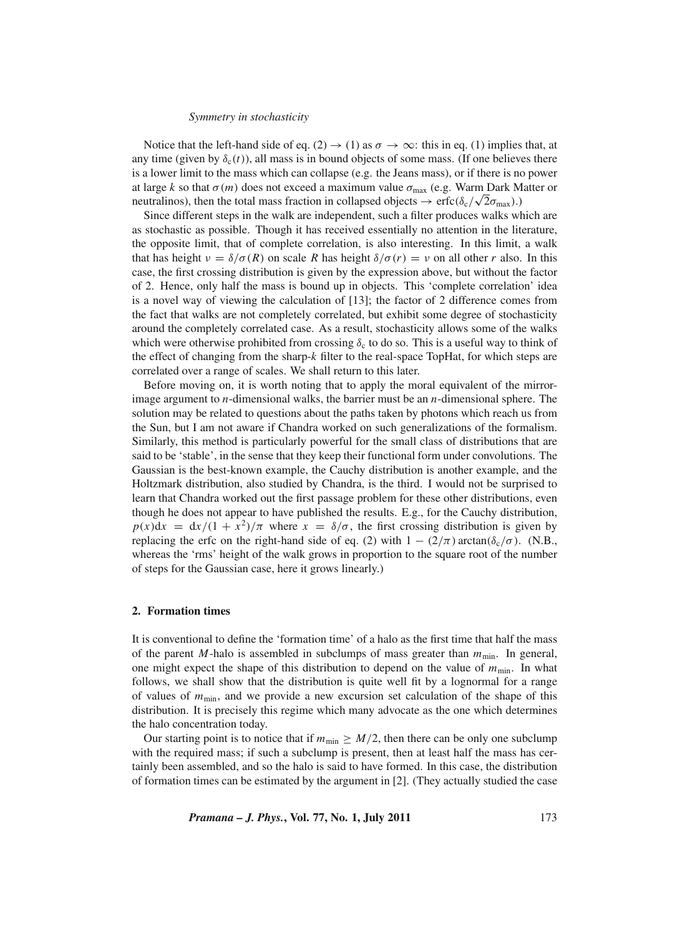Notice that the left-hand side of eq. (2)  $\rightarrow$  (1) as  $\sigma \rightarrow \infty$ : this in eq. (1) implies that, at any time (given by  $\delta_c(t)$ ), all mass is in bound objects of some mass. (If one believes there is a lower limit to the mass which can collapse (e.g. the Jeans mass), or if there is no power at large *k* so that  $\sigma(m)$  does not exceed a maximum value  $\sigma_{\text{max}}$  (e.g. Warm Dark Matter or at large *k* so that  $\sigma(m)$  does not exceed a maximum value  $\sigma_{\text{max}}$  (e.g. warm Dark M<br>neutralinos), then the total mass fraction in collapsed objects  $\rightarrow$  erfc( $\delta_c/\sqrt{2}\sigma_{\text{max}}$ ).)

Since different steps in the walk are independent, such a filter produces walks which are as stochastic as possible. Though it has received essentially no attention in the literature, the opposite limit, that of complete correlation, is also interesting. In this limit, a walk that has height  $\nu = \delta/\sigma(R)$  on scale *R* has height  $\delta/\sigma(r) = \nu$  on all other *r* also. In this case, the first crossing distribution is given by the expression above, but without the factor of 2. Hence, only half the mass is bound up in objects. This 'complete correlation' idea is a novel way of viewing the calculation of [13]; the factor of 2 difference comes from the fact that walks are not completely correlated, but exhibit some degree of stochasticity around the completely correlated case. As a result, stochasticity allows some of the walks which were otherwise prohibited from crossing  $\delta_c$  to do so. This is a useful way to think of the effect of changing from the sharp-*k* filter to the real-space TopHat, for which steps are correlated over a range of scales. We shall return to this later.

Before moving on, it is worth noting that to apply the moral equivalent of the mirrorimage argument to *n*-dimensional walks, the barrier must be an *n*-dimensional sphere. The solution may be related to questions about the paths taken by photons which reach us from the Sun, but I am not aware if Chandra worked on such generalizations of the formalism. Similarly, this method is particularly powerful for the small class of distributions that are said to be 'stable', in the sense that they keep their functional form under convolutions. The Gaussian is the best-known example, the Cauchy distribution is another example, and the Holtzmark distribution, also studied by Chandra, is the third. I would not be surprised to learn that Chandra worked out the first passage problem for these other distributions, even though he does not appear to have published the results. E.g., for the Cauchy distribution,  $p(x)dx = dx/(1 + x^2)/\pi$  where  $x = \delta/\sigma$ , the first crossing distribution is given by replacing the erfc on the right-hand side of eq. (2) with  $1 - (2/\pi) \arctan(\delta_c/\sigma)$ . (N.B., whereas the 'rms' height of the walk grows in proportion to the square root of the number of steps for the Gaussian case, here it grows linearly.)

## **2. Formation times**

It is conventional to define the 'formation time' of a halo as the first time that half the mass of the parent *M*-halo is assembled in subclumps of mass greater than  $m_{\text{min}}$ . In general, one might expect the shape of this distribution to depend on the value of  $m_{\text{min}}$ . In what follows, we shall show that the distribution is quite well fit by a lognormal for a range of values of  $m_{\text{min}}$ , and we provide a new excursion set calculation of the shape of this distribution. It is precisely this regime which many advocate as the one which determines the halo concentration today.

Our starting point is to notice that if  $m_{\text{min}} \geq M/2$ , then there can be only one subclump with the required mass; if such a subclump is present, then at least half the mass has certainly been assembled, and so the halo is said to have formed. In this case, the distribution of formation times can be estimated by the argument in [2]. (They actually studied the case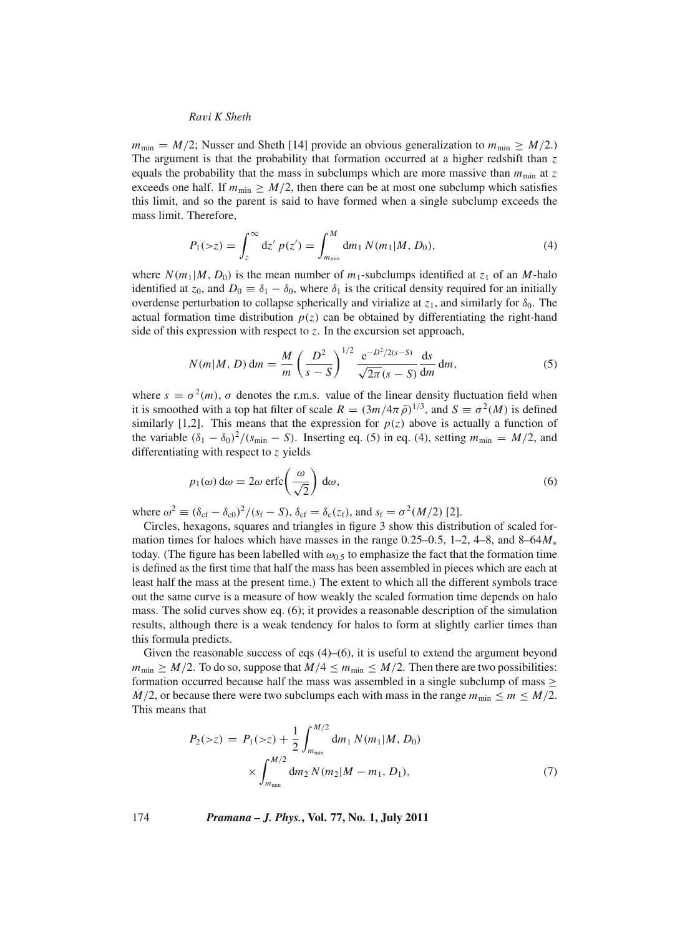$m_{\text{min}} = M/2$ ; Nusser and Sheth [14] provide an obvious generalization to  $m_{\text{min}} \ge M/2$ .) The argument is that the probability that formation occurred at a higher redshift than *z* equals the probability that the mass in subclumps which are more massive than  $m_{\text{min}}$  at  $z$ exceeds one half. If  $m_{\text{min}} \geq M/2$ , then there can be at most one subclump which satisfies this limit, and so the parent is said to have formed when a single subclump exceeds the mass limit. Therefore,

$$
P_1(\gt z) = \int_z^\infty dz' \ p(z') = \int_{m_{\min}}^M dm_1 \ N(m_1|M, D_0), \tag{4}
$$

where  $N(m_1|M, D_0)$  is the mean number of  $m_1$ -subclumps identified at  $z_1$  of an *M*-halo identified at  $z_0$ , and  $D_0 \equiv \delta_1 - \delta_0$ , where  $\delta_1$  is the critical density required for an initially overdense perturbation to collapse spherically and virialize at  $z_1$ , and similarly for  $\delta_0$ . The actual formation time distribution  $p(z)$  can be obtained by differentiating the right-hand side of this expression with respect to  $z$ . In the excursion set approach,

$$
N(m|M, D) dm = \frac{M}{m} \left(\frac{D^2}{s - S}\right)^{1/2} \frac{e^{-D^2/2(s - S)}}{\sqrt{2\pi}(s - S)} \frac{ds}{dm} dm,
$$
 (5)

where  $s \equiv \sigma^2(m)$ ,  $\sigma$  denotes the r.m.s. value of the linear density fluctuation field when it is smoothed with a top hat filter of scale  $R = (3m/4\pi \bar{\rho})^{1/3}$ , and  $S = \sigma^2(M)$  is defined similarly [1,2]. This means that the expression for  $p(z)$  above is actually a function of the variable  $(\delta_1 - \delta_0)^2 / (s_{\min} - S)$ . Inserting eq. (5) in eq. (4), setting  $m_{\min} = M/2$ , and differentiating with respect to *z* yields

$$
p_1(\omega) d\omega = 2\omega \operatorname{erfc}\left(\frac{\omega}{\sqrt{2}}\right) d\omega, \tag{6}
$$

where  $\omega^2 \equiv (\delta_{cf} - \delta_{c0})^2 / (s_f - S)$ ,  $\delta_{cf} = \delta_c(z_f)$ , and  $s_f = \sigma^2(M/2)$  [2].

Circles, hexagons, squares and triangles in figure 3 show this distribution of scaled formation times for haloes which have masses in the range 0.25–0.5, 1–2, 4–8, and 8–64*M*<sup>∗</sup> today. (The figure has been labelled with  $\omega_{0.5}$  to emphasize the fact that the formation time is defined as the first time that half the mass has been assembled in pieces which are each at least half the mass at the present time.) The extent to which all the different symbols trace out the same curve is a measure of how weakly the scaled formation time depends on halo mass. The solid curves show eq. (6); it provides a reasonable description of the simulation results, although there is a weak tendency for halos to form at slightly earlier times than this formula predicts.

Given the reasonable success of eqs  $(4)$ – $(6)$ , it is useful to extend the argument beyond  $m_{\text{min}} \geq M/2$ . To do so, suppose that  $M/4 \leq m_{\text{min}} \leq M/2$ . Then there are two possibilities: formation occurred because half the mass was assembled in a single subclump of mass  $\geq$ *M*/2, or because there were two subclumps each with mass in the range  $m_{\text{min}} \le m \le M/2$ . This means that

$$
P_2(\ge z) = P_1(\ge z) + \frac{1}{2} \int_{m_{\min}}^{M/2} dm_1 N(m_1|M, D_0)
$$
  
 
$$
\times \int_{m_{\min}}^{M/2} dm_2 N(m_2|M - m_1, D_1), \tag{7}
$$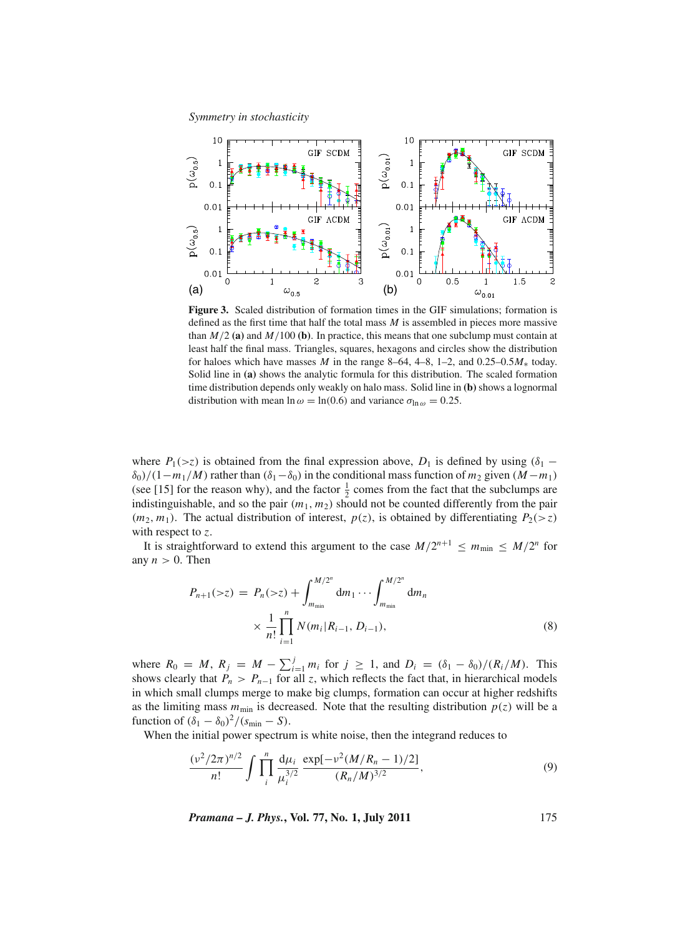

**Figure 3.** Scaled distribution of formation times in the GIF simulations; formation is defined as the first time that half the total mass  $M$  is assembled in pieces more massive than  $M/2$  (a) and  $M/100$  (b). In practice, this means that one subclump must contain at least half the final mass. Triangles, squares, hexagons and circles show the distribution for haloes which have masses *M* in the range 8–64, 4–8, 1–2, and 0.25–0.5 $M_*$  today. Solid line in **(a)** shows the analytic formula for this distribution. The scaled formation time distribution depends only weakly on halo mass. Solid line in **(b)** shows a lognormal distribution with mean  $\ln \omega = \ln(0.6)$  and variance  $\sigma_{\ln \omega} = 0.25$ .

where  $P_1(\ge z)$  is obtained from the final expression above,  $D_1$  is defined by using ( $\delta_1$  −  $\delta_0$ /(1−*m*<sub>1</sub>/*M*) rather than ( $\delta_1 - \delta_0$ ) in the conditional mass function of *m*<sub>2</sub> given (*M* − *m*<sub>1</sub>) (see [15] for the reason why), and the factor  $\frac{1}{2}$  comes from the fact that the subclumps are indistinguishable, and so the pair  $(m_1, m_2)$  should not be counted differently from the pair  $(m_2, m_1)$ . The actual distribution of interest,  $p(z)$ , is obtained by differentiating  $P_2(\geq z)$ with respect to *z*.

It is straightforward to extend this argument to the case  $M/2^{n+1} \le m_{\min} \le M/2^n$  for any  $n > 0$ . Then

$$
P_{n+1}(>z) = P_n(>z) + \int_{m_{\min}}^{M/2^n} dm_1 \cdots \int_{m_{\min}}^{M/2^n} dm_n
$$
  
 
$$
\times \frac{1}{n!} \prod_{i=1}^n N(m_i|R_{i-1}, D_{i-1}),
$$
 (8)

where  $R_0 = M$ ,  $R_j = M - \sum_{i=1}^j m_i$  for  $j \ge 1$ , and  $D_i = (\delta_1 - \delta_0)/(R_i/M)$ . This shows clearly that  $P_n > P_{n-1}$  for all *z*, which reflects the fact that, in hierarchical models in which small clumps merge to make big clumps, formation can occur at higher redshifts as the limiting mass  $m_{\text{min}}$  is decreased. Note that the resulting distribution  $p(z)$  will be a function of  $(\delta_1 - \delta_0)^2/(s_{\min} - S)$ .

When the initial power spectrum is white noise, then the integrand reduces to

$$
\frac{(\nu^2/2\pi)^{n/2}}{n!} \int \prod_{i}^{n} \frac{d\mu_i}{\mu_i^{3/2}} \frac{\exp[-\nu^2(M/R_n - 1)/2]}{(R_n/M)^{3/2}},
$$
(9)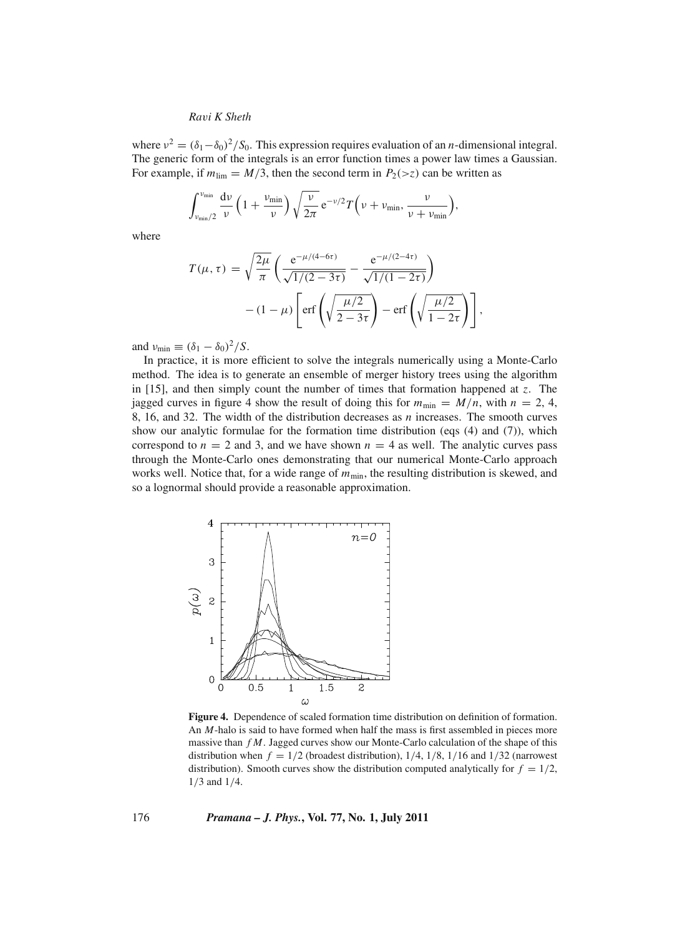where  $v^2 = (\delta_1 - \delta_0)^2 / S_0$ . This expression requires evaluation of an *n*-dimensional integral. The generic form of the integrals is an error function times a power law times a Gaussian. For example, if  $m_{\text{lim}} = M/3$ , then the second term in  $P_2(\gt z)$  can be written as

$$
\int_{\nu_{\min}/2}^{\nu_{\min}} \frac{d\nu}{\nu} \left(1 + \frac{\nu_{\min}}{\nu}\right) \sqrt{\frac{\nu}{2\pi}} e^{-\nu/2} T\left(\nu + \nu_{\min}, \frac{\nu}{\nu + \nu_{\min}}\right),
$$

where

$$
T(\mu, \tau) = \sqrt{\frac{2\mu}{\pi}} \left( \frac{e^{-\mu/(4-6\tau)}}{\sqrt{1/(2-3\tau)}} - \frac{e^{-\mu/(2-4\tau)}}{\sqrt{1/(1-2\tau)}} \right) - (1-\mu) \left[ erf \left( \sqrt{\frac{\mu/2}{2-3\tau}} \right) - erf \left( \sqrt{\frac{\mu/2}{1-2\tau}} \right) \right],
$$

and  $v_{\text{min}} \equiv (\delta_1 - \delta_0)^2 / S$ .

In practice, it is more efficient to solve the integrals numerically using a Monte-Carlo method. The idea is to generate an ensemble of merger history trees using the algorithm in [15], and then simply count the number of times that formation happened at *z*. The jagged curves in figure 4 show the result of doing this for  $m_{\text{min}} = M/n$ , with  $n = 2, 4$ , 8, 16, and 32. The width of the distribution decreases as *n* increases. The smooth curves show our analytic formulae for the formation time distribution (eqs (4) and (7)), which correspond to  $n = 2$  and 3, and we have shown  $n = 4$  as well. The analytic curves pass through the Monte-Carlo ones demonstrating that our numerical Monte-Carlo approach works well. Notice that, for a wide range of  $m_{\text{min}}$ , the resulting distribution is skewed, and so a lognormal should provide a reasonable approximation.



**Figure 4.** Dependence of scaled formation time distribution on definition of formation. An *M*-halo is said to have formed when half the mass is first assembled in pieces more massive than *f M*. Jagged curves show our Monte-Carlo calculation of the shape of this distribution when  $f = 1/2$  (broadest distribution),  $1/4$ ,  $1/8$ ,  $1/16$  and  $1/32$  (narrowest distribution). Smooth curves show the distribution computed analytically for  $f = 1/2$ , 1/3 and 1/4.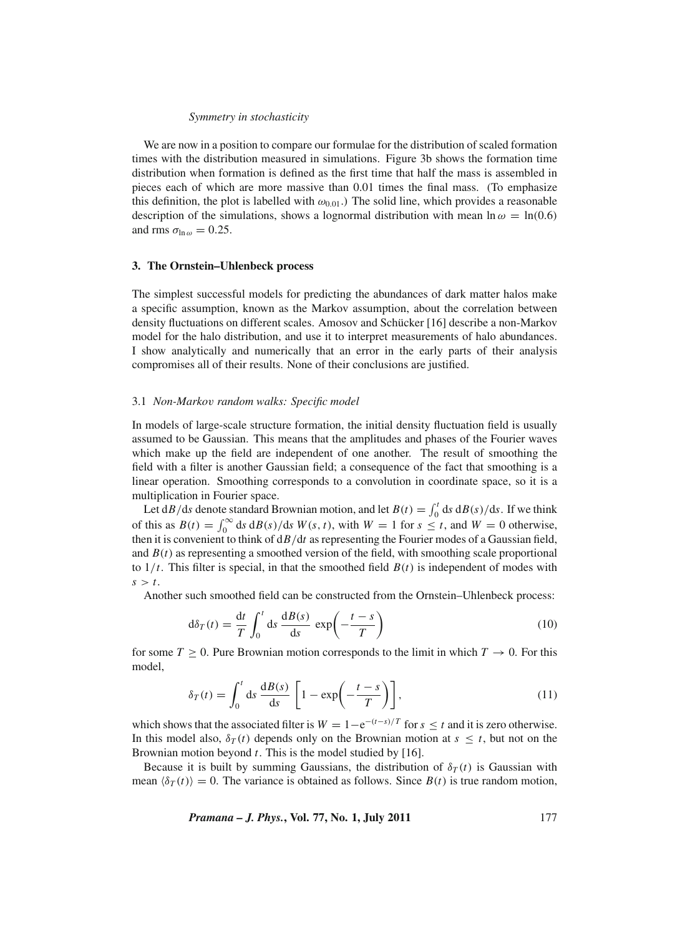We are now in a position to compare our formulae for the distribution of scaled formation times with the distribution measured in simulations. Figure 3b shows the formation time distribution when formation is defined as the first time that half the mass is assembled in pieces each of which are more massive than 0.01 times the final mass. (To emphasize this definition, the plot is labelled with  $\omega_{0.01}$ . The solid line, which provides a reasonable description of the simulations, shows a lognormal distribution with mean  $\ln \omega = \ln(0.6)$ and rms  $\sigma_{\ln \omega} = 0.25$ .

#### **3. The Ornstein–Uhlenbeck process**

The simplest successful models for predicting the abundances of dark matter halos make a specific assumption, known as the Markov assumption, about the correlation between density fluctuations on different scales. Amosov and Schücker [16] describe a non-Markov model for the halo distribution, and use it to interpret measurements of halo abundances. I show analytically and numerically that an error in the early parts of their analysis compromises all of their results. None of their conclusions are justified.

#### 3.1 *Non-Marko*v *random walks: Specific model*

In models of large-scale structure formation, the initial density fluctuation field is usually assumed to be Gaussian. This means that the amplitudes and phases of the Fourier waves which make up the field are independent of one another. The result of smoothing the field with a filter is another Gaussian field; a consequence of the fact that smoothing is a linear operation. Smoothing corresponds to a convolution in coordinate space, so it is a multiplication in Fourier space.

Let  $dB/ds$  denote standard Brownian motion, and let  $B(t) = \int_0^t ds dB(s)/ds$ . If we think of this as  $B(t) = \int_0^\infty ds \, dB(s)/ds \, W(s, t)$ , with  $W = 1$  for  $s \le t$ , and  $W = 0$  otherwise, then it is convenient to think of d*B*/d*t* as representing the Fourier modes of a Gaussian field, and  $B(t)$  as representing a smoothed version of the field, with smoothing scale proportional to  $1/t$ . This filter is special, in that the smoothed field  $B(t)$  is independent of modes with  $s > t$ .

Another such smoothed field can be constructed from the Ornstein–Uhlenbeck process:

$$
d\delta_T(t) = \frac{dt}{T} \int_0^t ds \frac{dB(s)}{ds} \exp\left(-\frac{t-s}{T}\right)
$$
 (10)

for some  $T \ge 0$ . Pure Brownian motion corresponds to the limit in which  $T \to 0$ . For this model,

$$
\delta_T(t) = \int_0^t ds \frac{dB(s)}{ds} \left[ 1 - \exp\left(-\frac{t-s}{T}\right) \right],\tag{11}
$$

which shows that the associated filter is  $W = 1 - e^{-(t-s)/T}$  for  $s \le t$  and it is zero otherwise. In this model also,  $\delta_T(t)$  depends only on the Brownian motion at  $s \leq t$ , but not on the Brownian motion beyond *t*. This is the model studied by [16].

Because it is built by summing Gaussians, the distribution of  $\delta_T(t)$  is Gaussian with mean  $\langle \delta_T(t) \rangle = 0$ . The variance is obtained as follows. Since  $B(t)$  is true random motion,

*Pramana – J. Phys.***, Vol. 77, No. 1, July 2011** 177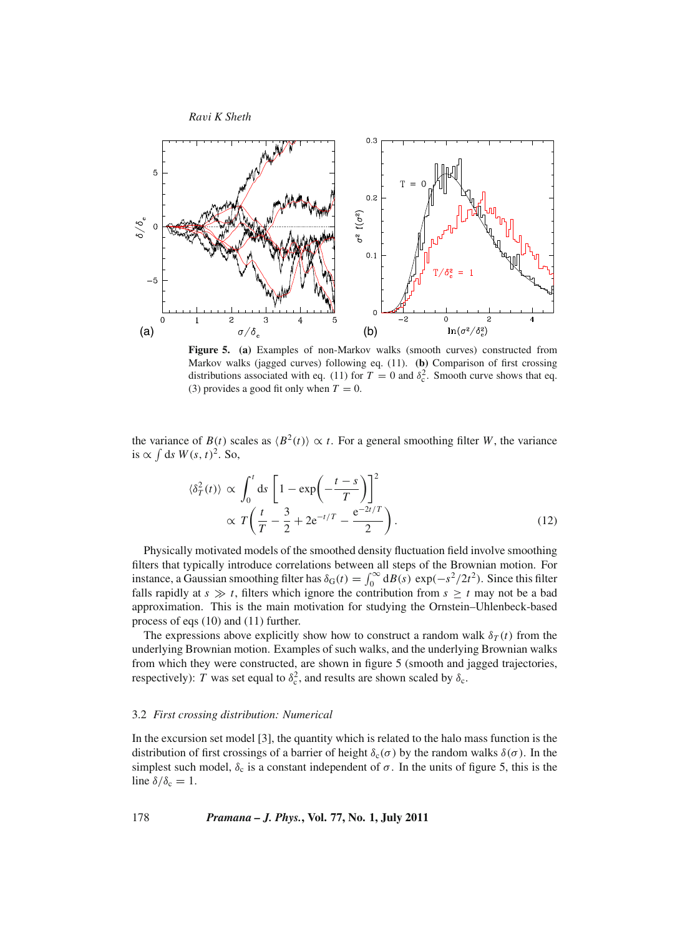

**Figure 5. (a)** Examples of non-Markov walks (smooth curves) constructed from Markov walks (jagged curves) following eq. (11). **(b)** Comparison of first crossing distributions associated with eq. (11) for  $T = 0$  and  $\delta_c^2$ . Smooth curve shows that eq. (3) provides a good fit only when  $T = 0$ .

the variance of  $B(t)$  scales as  $\langle B^2(t) \rangle \propto t$ . For a general smoothing filter *W*, the variance is ∝  $\int$  ds  $W(s, t)^2$ . So,

$$
\langle \delta_T^2(t) \rangle \propto \int_0^t ds \left[ 1 - \exp\left(-\frac{t-s}{T}\right) \right]^2
$$
  
 
$$
\propto T \left(\frac{t}{T} - \frac{3}{2} + 2e^{-t/T} - \frac{e^{-2t/T}}{2}\right).
$$
 (12)

Physically motivated models of the smoothed density fluctuation field involve smoothing filters that typically introduce correlations between all steps of the Brownian motion. For instance, a Gaussian smoothing filter has  $\delta_G(t) = \int_0^\infty d\mathbf{B}(s) \exp(-s^2/2t^2)$ . Since this filter falls rapidly at  $s \gg t$ , filters which ignore the contribution from  $s \geq t$  may not be a bad approximation. This is the main motivation for studying the Ornstein–Uhlenbeck-based process of eqs (10) and (11) further.

The expressions above explicitly show how to construct a random walk  $\delta_T(t)$  from the underlying Brownian motion. Examples of such walks, and the underlying Brownian walks from which they were constructed, are shown in figure 5 (smooth and jagged trajectories, respectively): *T* was set equal to  $\delta_c^2$ , and results are shown scaled by  $\delta_c$ .

#### 3.2 *First crossing distribution: Numerical*

In the excursion set model [3], the quantity which is related to the halo mass function is the distribution of first crossings of a barrier of height  $\delta_c(\sigma)$  by the random walks  $\delta(\sigma)$ . In the simplest such model,  $\delta_c$  is a constant independent of  $\sigma$ . In the units of figure 5, this is the line  $\delta/\delta_c = 1$ .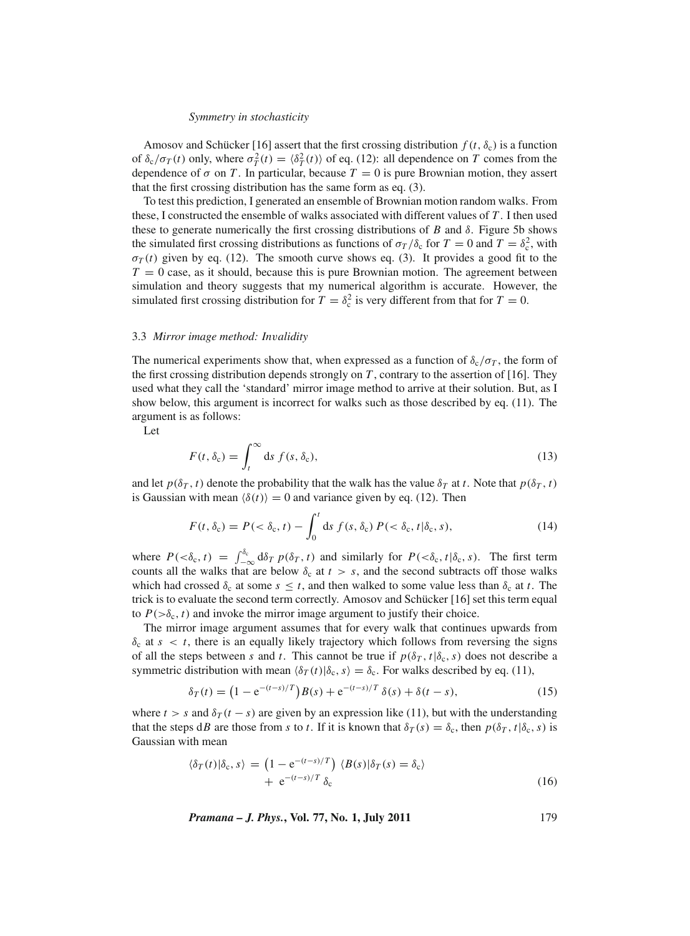Amosov and Schücker [16] assert that the first crossing distribution  $f(t, \delta_c)$  is a function of  $\delta_c/\sigma_T(t)$  only, where  $\sigma_T^2(t) = \langle \delta_T^2(t) \rangle$  of eq. (12): all dependence on *T* comes from the dependence of  $\sigma$  on *T*. In particular, because  $T = 0$  is pure Brownian motion, they assert that the first crossing distribution has the same form as eq. (3).

To test this prediction, I generated an ensemble of Brownian motion random walks. From these, I constructed the ensemble of walks associated with different values of *T* . I then used these to generate numerically the first crossing distributions of *B* and  $\delta$ . Figure 5b shows the simulated first crossing distributions as functions of  $\sigma_T/\delta_c$  for  $T = 0$  and  $T = \delta_c^2$ , with  $\sigma_T(t)$  given by eq. (12). The smooth curve shows eq. (3). It provides a good fit to the  $T = 0$  case, as it should, because this is pure Brownian motion. The agreement between simulation and theory suggests that my numerical algorithm is accurate. However, the simulated first crossing distribution for  $T = \delta_c^2$  is very different from that for  $T = 0$ .

#### 3.3 *Mirror image method: In*v*alidity*

The numerical experiments show that, when expressed as a function of  $\delta_c/\sigma_T$ , the form of the first crossing distribution depends strongly on *T* , contrary to the assertion of [16]. They used what they call the 'standard' mirror image method to arrive at their solution. But, as I show below, this argument is incorrect for walks such as those described by eq. (11). The argument is as follows:

Let

$$
F(t,\delta_c) = \int_t^\infty ds \, f(s,\delta_c),\tag{13}
$$

and let  $p(\delta_T, t)$  denote the probability that the walk has the value  $\delta_T$  at *t*. Note that  $p(\delta_T, t)$ is Gaussian with mean  $\langle \delta(t) \rangle = 0$  and variance given by eq. (12). Then

$$
F(t, \delta_c) = P(<\delta_c, t) - \int_0^t ds f(s, \delta_c) P(<\delta_c, t | \delta_c, s),
$$
\n(14)

where  $P(\langle \delta_c, t \rangle) = \int_{-\infty}^{\delta_c} d\delta_T p(\delta_T, t)$  and similarly for  $P(\langle \delta_c, t | \delta_c, s \rangle)$ . The first term counts all the walks that are below  $\delta_c$  at  $t > s$ , and the second subtracts off those walks which had crossed  $\delta_c$  at some  $s \leq t$ , and then walked to some value less than  $\delta_c$  at *t*. The trick is to evaluate the second term correctly. Amosov and Schücker [16] set this term equal to  $P(\geq \delta_c, t)$  and invoke the mirror image argument to justify their choice.

The mirror image argument assumes that for every walk that continues upwards from  $\delta_c$  at  $s < t$ , there is an equally likely trajectory which follows from reversing the signs of all the steps between *s* and *t*. This cannot be true if  $p(\delta_T, t | \delta_c, s)$  does not describe a symmetric distribution with mean  $\langle \delta_T(t) | \delta_c, s \rangle = \delta_c$ . For walks described by eq. (11),

$$
\delta_T(t) = \left(1 - e^{-(t-s)/T}\right)B(s) + e^{-(t-s)/T}\,\delta(s) + \delta(t-s),\tag{15}
$$

where  $t > s$  and  $\delta_T(t - s)$  are given by an expression like (11), but with the understanding that the steps d*B* are those from *s* to *t*. If it is known that  $\delta_T(s) = \delta_c$ , then  $p(\delta_T, t | \delta_c, s)$  is Gaussian with mean

$$
\langle \delta_T(t) | \delta_c, s \rangle = \left( 1 - e^{-(t-s)/T} \right) \langle B(s) | \delta_T(s) = \delta_c \rangle
$$
  
+ 
$$
e^{-(t-s)/T} \delta_c
$$
 (16)

*Pramana – J. Phys.***, Vol. 77, No. 1, July 2011** 179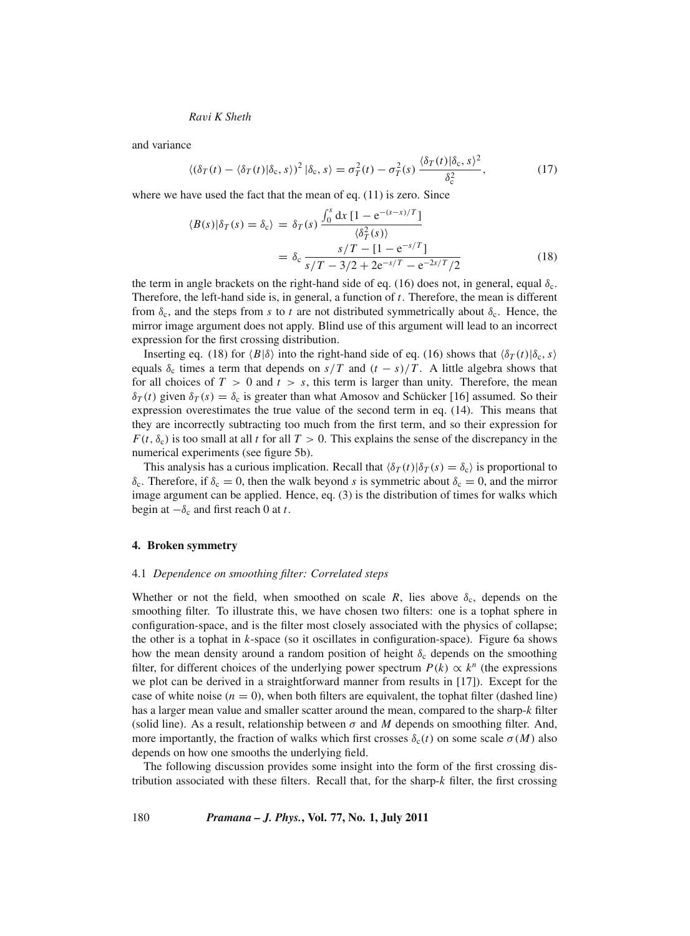and variance

$$
\langle (\delta_T(t) - \langle \delta_T(t) | \delta_c, s \rangle)^2 | \delta_c, s \rangle = \sigma_T^2(t) - \sigma_T^2(s) \frac{\langle \delta_T(t) | \delta_c, s \rangle^2}{\delta_c^2}, \tag{17}
$$

where we have used the fact that the mean of eq. (11) is zero. Since

$$
\langle B(s)|\delta_T(s) = \delta_c\rangle = \delta_T(s) \frac{\int_0^s dx [1 - e^{-(s-x)/T}]}{\langle \delta_T^2(s) \rangle}
$$
  
=  $\delta_c \frac{s/T - [1 - e^{-s/T}]}{s/T - 3/2 + 2e^{-s/T} - e^{-2s/T}/2}$  (18)

the term in angle brackets on the right-hand side of eq. (16) does not, in general, equal  $\delta_c$ . Therefore, the left-hand side is, in general, a function of *t*. Therefore, the mean is different from  $\delta_c$ , and the steps from *s* to *t* are not distributed symmetrically about  $\delta_c$ . Hence, the mirror image argument does not apply. Blind use of this argument will lead to an incorrect expression for the first crossing distribution.

Inserting eq. (18) for  $\langle B|\delta \rangle$  into the right-hand side of eq. (16) shows that  $\langle \delta_T(t)|\delta_{\rm c},s \rangle$ equals  $\delta_c$  times a term that depends on  $s/T$  and  $(t - s)/T$ . A little algebra shows that for all choices of  $T > 0$  and  $t > s$ , this term is larger than unity. Therefore, the mean  $\delta_T(t)$  given  $\delta_T(s) = \delta_c$  is greater than what Amosov and Schücker [16] assumed. So their expression overestimates the true value of the second term in eq. (14). This means that they are incorrectly subtracting too much from the first term, and so their expression for  $F(t, \delta_c)$  is too small at all *t* for all  $T > 0$ . This explains the sense of the discrepancy in the numerical experiments (see figure 5b).

This analysis has a curious implication. Recall that  $\langle \delta_T(t) | \delta_T(s) = \delta_c \rangle$  is proportional to  $\delta_c$ . Therefore, if  $\delta_c = 0$ , then the walk beyond *s* is symmetric about  $\delta_c = 0$ , and the mirror image argument can be applied. Hence, eq. (3) is the distribution of times for walks which begin at  $-\delta_c$  and first reach 0 at *t*.

#### **4. Broken symmetry**

#### 4.1 *Dependence on smoothing filter: Correlated steps*

Whether or not the field, when smoothed on scale  $R$ , lies above  $\delta_c$ , depends on the smoothing filter. To illustrate this, we have chosen two filters: one is a tophat sphere in configuration-space, and is the filter most closely associated with the physics of collapse; the other is a tophat in *k*-space (so it oscillates in configuration-space). Figure 6a shows how the mean density around a random position of height  $\delta_c$  depends on the smoothing filter, for different choices of the underlying power spectrum  $P(k) \propto k^n$  (the expressions we plot can be derived in a straightforward manner from results in [17]). Except for the case of white noise  $(n = 0)$ , when both filters are equivalent, the tophat filter (dashed line) has a larger mean value and smaller scatter around the mean, compared to the sharp-*k* filter (solid line). As a result, relationship between  $\sigma$  and M depends on smoothing filter. And, more importantly, the fraction of walks which first crosses  $\delta_c(t)$  on some scale  $\sigma(M)$  also depends on how one smooths the underlying field.

The following discussion provides some insight into the form of the first crossing distribution associated with these filters. Recall that, for the sharp-*k* filter, the first crossing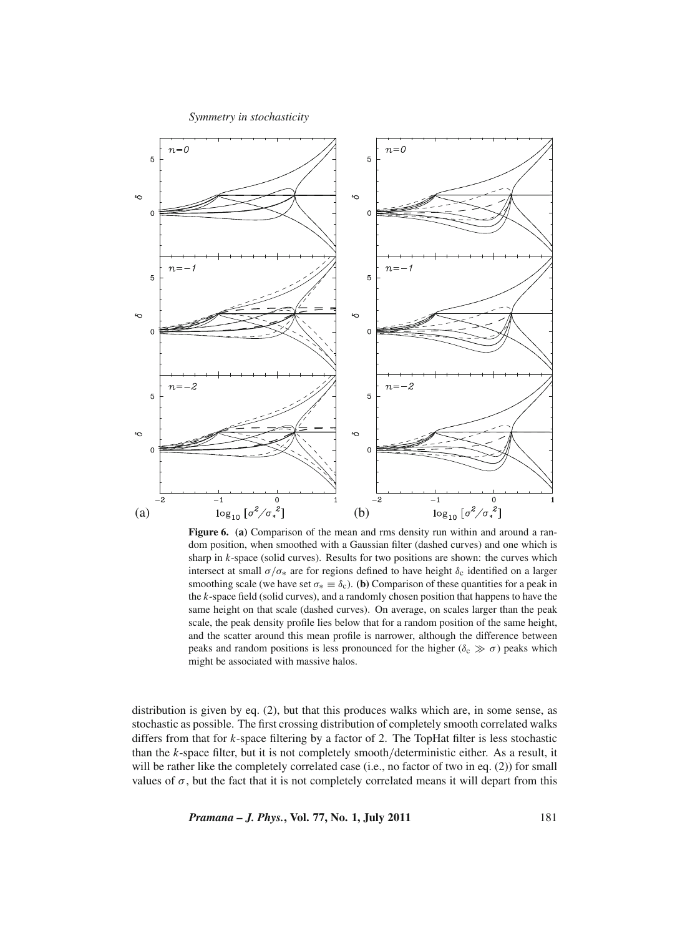

**Figure 6. (a)** Comparison of the mean and rms density run within and around a random position, when smoothed with a Gaussian filter (dashed curves) and one which is sharp in *k*-space (solid curves). Results for two positions are shown: the curves which intersect at small  $\sigma/\sigma_*$  are for regions defined to have height  $\delta_c$  identified on a larger smoothing scale (we have set  $\sigma_* \equiv \delta_c$ ). **(b)** Comparison of these quantities for a peak in the *k*-space field (solid curves), and a randomly chosen position that happens to have the same height on that scale (dashed curves). On average, on scales larger than the peak scale, the peak density profile lies below that for a random position of the same height, and the scatter around this mean profile is narrower, although the difference between peaks and random positions is less pronounced for the higher ( $\delta_c \gg \sigma$ ) peaks which might be associated with massive halos.

distribution is given by eq. (2), but that this produces walks which are, in some sense, as stochastic as possible. The first crossing distribution of completely smooth correlated walks differs from that for *k*-space filtering by a factor of 2. The TopHat filter is less stochastic than the *k*-space filter, but it is not completely smooth/deterministic either. As a result, it will be rather like the completely correlated case (i.e., no factor of two in eq. (2)) for small values of  $\sigma$ , but the fact that it is not completely correlated means it will depart from this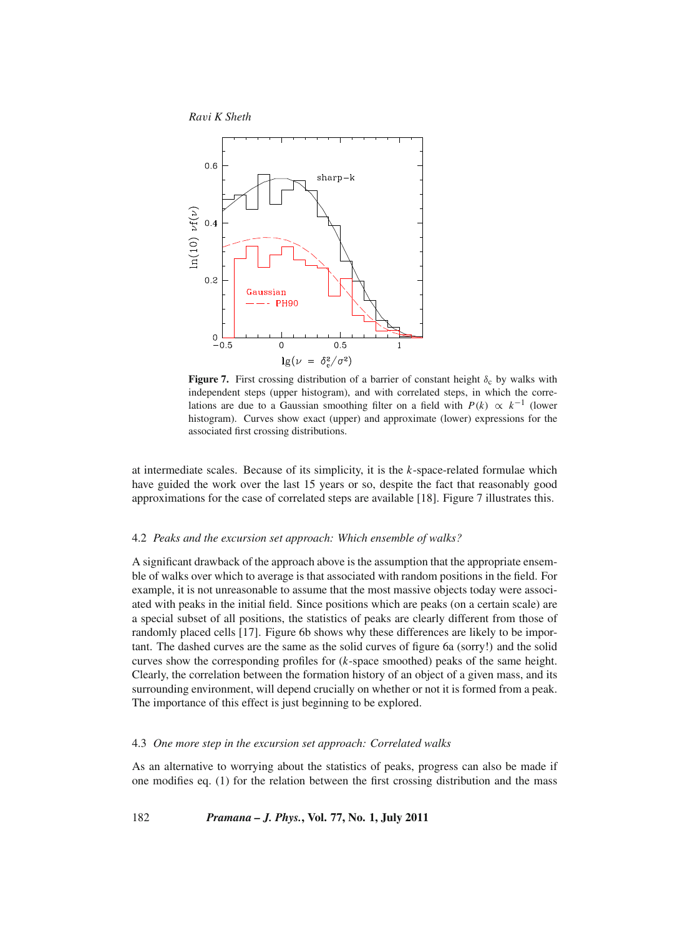

**Figure 7.** First crossing distribution of a barrier of constant height  $\delta_c$  by walks with independent steps (upper histogram), and with correlated steps, in which the correlations are due to a Gaussian smoothing filter on a field with  $P(k) \propto k^{-1}$  (lower histogram). Curves show exact (upper) and approximate (lower) expressions for the associated first crossing distributions.

at intermediate scales. Because of its simplicity, it is the *k*-space-related formulae which have guided the work over the last 15 years or so, despite the fact that reasonably good approximations for the case of correlated steps are available [18]. Figure 7 illustrates this.

#### 4.2 *Peaks and the excursion set approach: Which ensemble of walks?*

A significant drawback of the approach above is the assumption that the appropriate ensemble of walks over which to average is that associated with random positions in the field. For example, it is not unreasonable to assume that the most massive objects today were associated with peaks in the initial field. Since positions which are peaks (on a certain scale) are a special subset of all positions, the statistics of peaks are clearly different from those of randomly placed cells [17]. Figure 6b shows why these differences are likely to be important. The dashed curves are the same as the solid curves of figure 6a (sorry!) and the solid curves show the corresponding profiles for (*k*-space smoothed) peaks of the same height. Clearly, the correlation between the formation history of an object of a given mass, and its surrounding environment, will depend crucially on whether or not it is formed from a peak. The importance of this effect is just beginning to be explored.

## 4.3 *One more step in the excursion set approach: Correlated walks*

As an alternative to worrying about the statistics of peaks, progress can also be made if one modifies eq. (1) for the relation between the first crossing distribution and the mass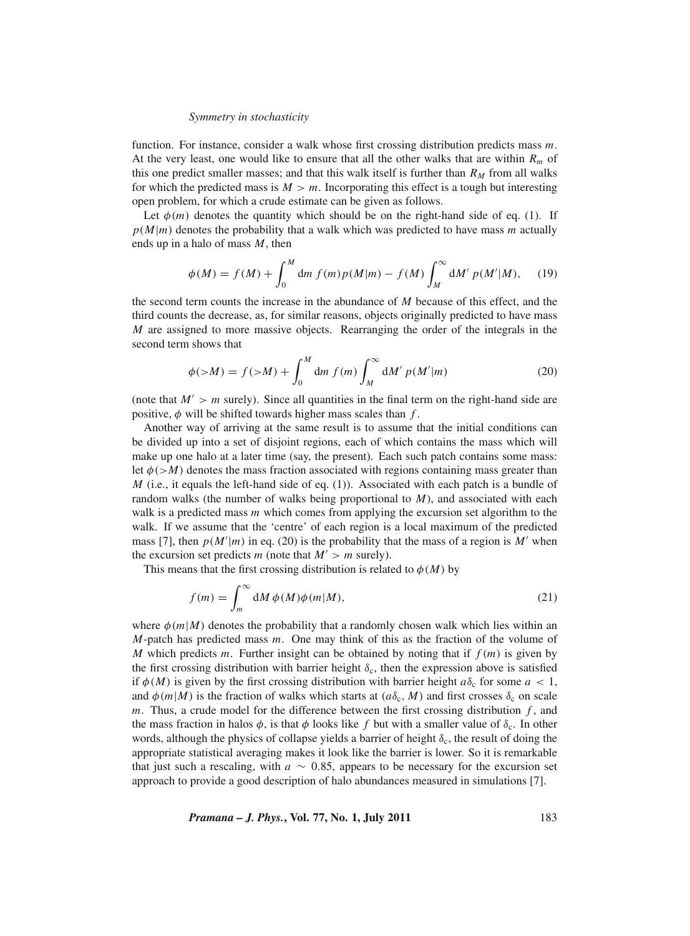function. For instance, consider a walk whose first crossing distribution predicts mass *m*. At the very least, one would like to ensure that all the other walks that are within *Rm* of this one predict smaller masses; and that this walk itself is further than  $R_M$  from all walks for which the predicted mass is  $M > m$ . Incorporating this effect is a tough but interesting open problem, for which a crude estimate can be given as follows.

Let  $\phi(m)$  denotes the quantity which should be on the right-hand side of eq. (1). If  $p(M|m)$  denotes the probability that a walk which was predicted to have mass *m* actually ends up in a halo of mass *M*, then

$$
\phi(M) = f(M) + \int_0^M dm f(m) p(M|m) - f(M) \int_M^{\infty} dM' p(M'|M), \quad (19)
$$

the second term counts the increase in the abundance of *M* because of this effect, and the third counts the decrease, as, for similar reasons, objects originally predicted to have mass *M* are assigned to more massive objects. Rearranging the order of the integrals in the second term shows that

$$
\phi(>M) = f(>M) + \int_0^M dm f(m) \int_M^{\infty} dM' p(M'|m)
$$
 (20)

(note that  $M' > m$  surely). Since all quantities in the final term on the right-hand side are positive,  $\phi$  will be shifted towards higher mass scales than  $f$ .

Another way of arriving at the same result is to assume that the initial conditions can be divided up into a set of disjoint regions, each of which contains the mass which will make up one halo at a later time (say, the present). Each such patch contains some mass: let  $\phi$ ( $>M$ ) denotes the mass fraction associated with regions containing mass greater than *M* (i.e., it equals the left-hand side of eq. (1)). Associated with each patch is a bundle of random walks (the number of walks being proportional to *M*), and associated with each walk is a predicted mass *m* which comes from applying the excursion set algorithm to the walk. If we assume that the 'centre' of each region is a local maximum of the predicted mass [7], then  $p(M'|m)$  in eq. (20) is the probability that the mass of a region is M' when the excursion set predicts *m* (note that  $M' > m$  surely).

This means that the first crossing distribution is related to  $\phi(M)$  by

$$
f(m) = \int_{m}^{\infty} dM \phi(M)\phi(m|M), \qquad (21)
$$

where  $\phi(m|M)$  denotes the probability that a randomly chosen walk which lies within an *M*-patch has predicted mass *m*. One may think of this as the fraction of the volume of *M* which predicts *m*. Further insight can be obtained by noting that if *f* (*m*) is given by the first crossing distribution with barrier height  $\delta_c$ , then the expression above is satisfied if  $\phi(M)$  is given by the first crossing distribution with barrier height  $a\delta_c$  for some  $a < 1$ , and  $\phi(m|M)$  is the fraction of walks which starts at  $(a\delta_c, M)$  and first crosses  $\delta_c$  on scale *m*. Thus, a crude model for the difference between the first crossing distribution *f* , and the mass fraction in halos  $\phi$ , is that  $\phi$  looks like f but with a smaller value of  $\delta_c$ . In other words, although the physics of collapse yields a barrier of height  $\delta_c$ , the result of doing the appropriate statistical averaging makes it look like the barrier is lower. So it is remarkable that just such a rescaling, with  $a \sim 0.85$ , appears to be necessary for the excursion set approach to provide a good description of halo abundances measured in simulations [7].

*Pramana – J. Phys.***, Vol. 77, No. 1, July 2011** 183